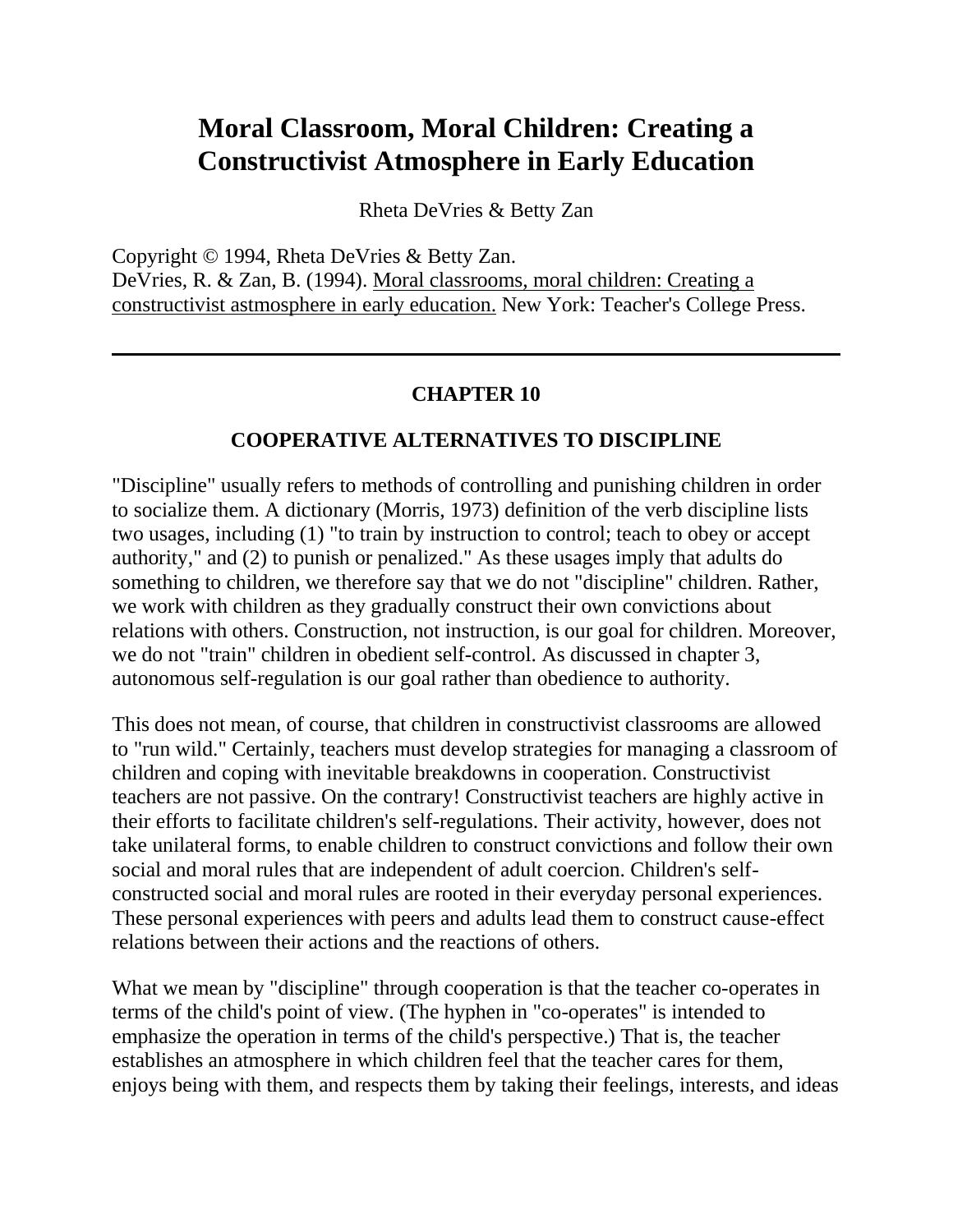# **Moral Classroom, Moral Children: Creating a Constructivist Atmosphere in Early Education**

Rheta DeVries & Betty Zan

Copyright © 1994, Rheta DeVries & Betty Zan. DeVries, R. & Zan, B. (1994). Moral classrooms, moral children: Creating a constructivist astmosphere in early education. New York: Teacher's College Press.

## **CHAPTER 10**

# **COOPERATIVE ALTERNATIVES TO DISCIPLINE**

"Discipline" usually refers to methods of controlling and punishing children in order to socialize them. A dictionary (Morris, 1973) definition of the verb discipline lists two usages, including (1) "to train by instruction to control; teach to obey or accept authority," and (2) to punish or penalized." As these usages imply that adults do something to children, we therefore say that we do not "discipline" children. Rather, we work with children as they gradually construct their own convictions about relations with others. Construction, not instruction, is our goal for children. Moreover, we do not "train" children in obedient self-control. As discussed in chapter 3, autonomous self-regulation is our goal rather than obedience to authority.

This does not mean, of course, that children in constructivist classrooms are allowed to "run wild." Certainly, teachers must develop strategies for managing a classroom of children and coping with inevitable breakdowns in cooperation. Constructivist teachers are not passive. On the contrary! Constructivist teachers are highly active in their efforts to facilitate children's self-regulations. Their activity, however, does not take unilateral forms, to enable children to construct convictions and follow their own social and moral rules that are independent of adult coercion. Children's selfconstructed social and moral rules are rooted in their everyday personal experiences. These personal experiences with peers and adults lead them to construct cause-effect relations between their actions and the reactions of others.

What we mean by "discipline" through cooperation is that the teacher co-operates in terms of the child's point of view. (The hyphen in "co-operates" is intended to emphasize the operation in terms of the child's perspective.) That is, the teacher establishes an atmosphere in which children feel that the teacher cares for them, enjoys being with them, and respects them by taking their feelings, interests, and ideas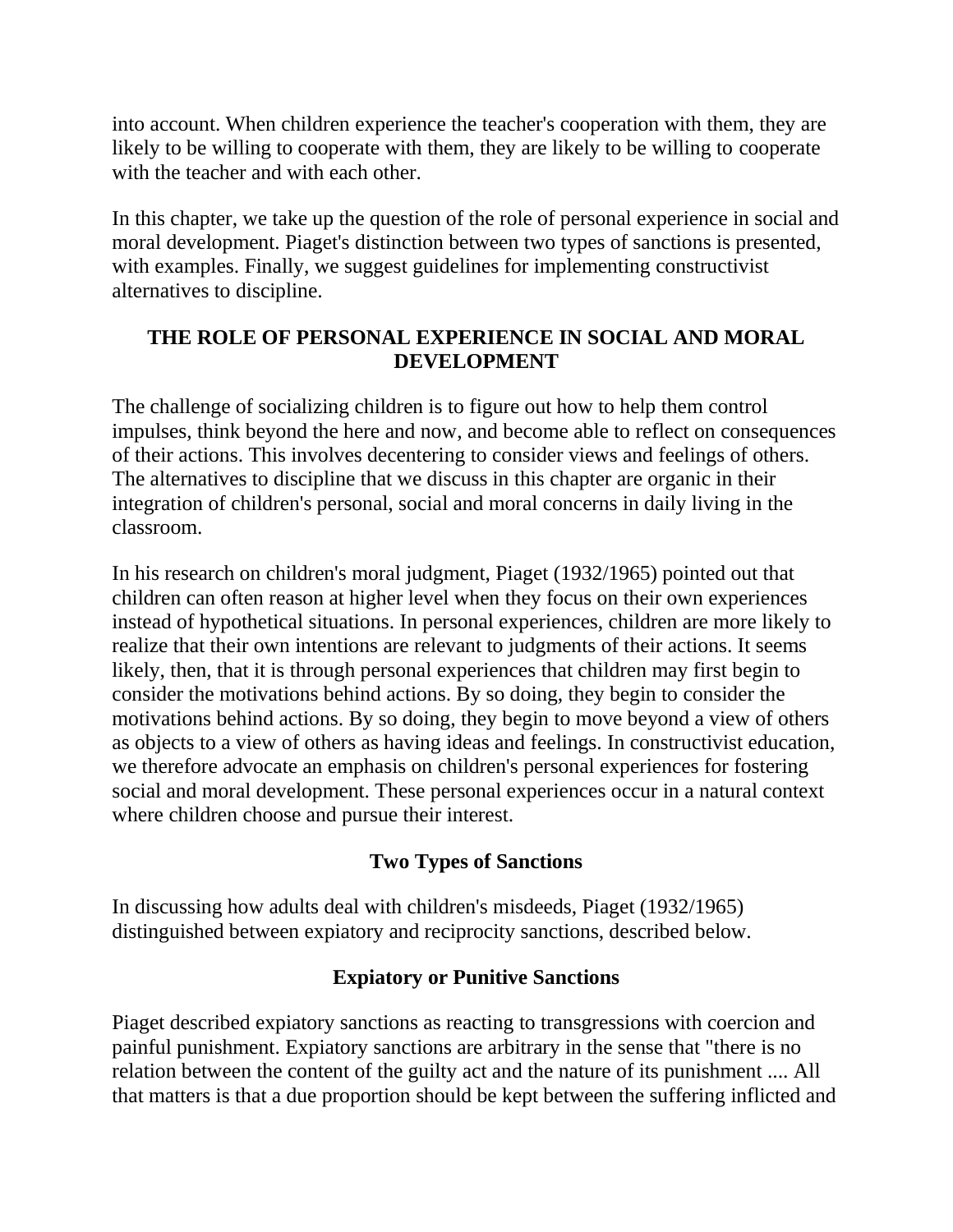into account. When children experience the teacher's cooperation with them, they are likely to be willing to cooperate with them, they are likely to be willing to cooperate with the teacher and with each other.

In this chapter, we take up the question of the role of personal experience in social and moral development. Piaget's distinction between two types of sanctions is presented, with examples. Finally, we suggest guidelines for implementing constructivist alternatives to discipline.

# **THE ROLE OF PERSONAL EXPERIENCE IN SOCIAL AND MORAL DEVELOPMENT**

The challenge of socializing children is to figure out how to help them control impulses, think beyond the here and now, and become able to reflect on consequences of their actions. This involves decentering to consider views and feelings of others. The alternatives to discipline that we discuss in this chapter are organic in their integration of children's personal, social and moral concerns in daily living in the classroom.

In his research on children's moral judgment, Piaget (1932/1965) pointed out that children can often reason at higher level when they focus on their own experiences instead of hypothetical situations. In personal experiences, children are more likely to realize that their own intentions are relevant to judgments of their actions. It seems likely, then, that it is through personal experiences that children may first begin to consider the motivations behind actions. By so doing, they begin to consider the motivations behind actions. By so doing, they begin to move beyond a view of others as objects to a view of others as having ideas and feelings. In constructivist education, we therefore advocate an emphasis on children's personal experiences for fostering social and moral development. These personal experiences occur in a natural context where children choose and pursue their interest.

## **Two Types of Sanctions**

In discussing how adults deal with children's misdeeds, Piaget (1932/1965) distinguished between expiatory and reciprocity sanctions, described below.

# **Expiatory or Punitive Sanctions**

Piaget described expiatory sanctions as reacting to transgressions with coercion and painful punishment. Expiatory sanctions are arbitrary in the sense that "there is no relation between the content of the guilty act and the nature of its punishment .... All that matters is that a due proportion should be kept between the suffering inflicted and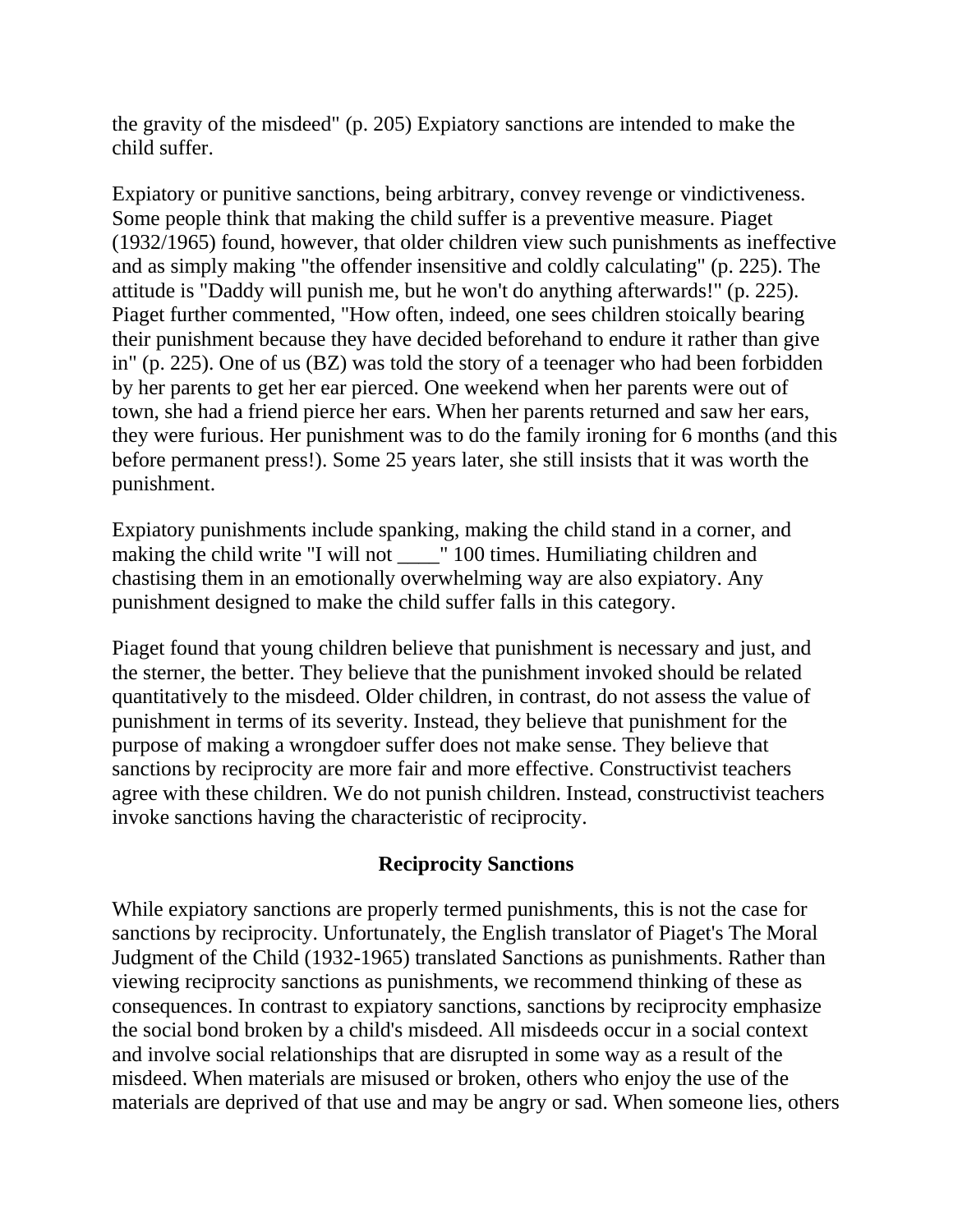the gravity of the misdeed" (p. 205) Expiatory sanctions are intended to make the child suffer.

Expiatory or punitive sanctions, being arbitrary, convey revenge or vindictiveness. Some people think that making the child suffer is a preventive measure. Piaget (1932/1965) found, however, that older children view such punishments as ineffective and as simply making "the offender insensitive and coldly calculating" (p. 225). The attitude is "Daddy will punish me, but he won't do anything afterwards!" (p. 225). Piaget further commented, "How often, indeed, one sees children stoically bearing their punishment because they have decided beforehand to endure it rather than give in" (p. 225). One of us (BZ) was told the story of a teenager who had been forbidden by her parents to get her ear pierced. One weekend when her parents were out of town, she had a friend pierce her ears. When her parents returned and saw her ears, they were furious. Her punishment was to do the family ironing for 6 months (and this before permanent press!). Some 25 years later, she still insists that it was worth the punishment.

Expiatory punishments include spanking, making the child stand in a corner, and making the child write "I will not \_\_\_\_" 100 times. Humiliating children and chastising them in an emotionally overwhelming way are also expiatory. Any punishment designed to make the child suffer falls in this category.

Piaget found that young children believe that punishment is necessary and just, and the sterner, the better. They believe that the punishment invoked should be related quantitatively to the misdeed. Older children, in contrast, do not assess the value of punishment in terms of its severity. Instead, they believe that punishment for the purpose of making a wrongdoer suffer does not make sense. They believe that sanctions by reciprocity are more fair and more effective. Constructivist teachers agree with these children. We do not punish children. Instead, constructivist teachers invoke sanctions having the characteristic of reciprocity.

## **Reciprocity Sanctions**

While expiatory sanctions are properly termed punishments, this is not the case for sanctions by reciprocity. Unfortunately, the English translator of Piaget's The Moral Judgment of the Child (1932-1965) translated Sanctions as punishments. Rather than viewing reciprocity sanctions as punishments, we recommend thinking of these as consequences. In contrast to expiatory sanctions, sanctions by reciprocity emphasize the social bond broken by a child's misdeed. All misdeeds occur in a social context and involve social relationships that are disrupted in some way as a result of the misdeed. When materials are misused or broken, others who enjoy the use of the materials are deprived of that use and may be angry or sad. When someone lies, others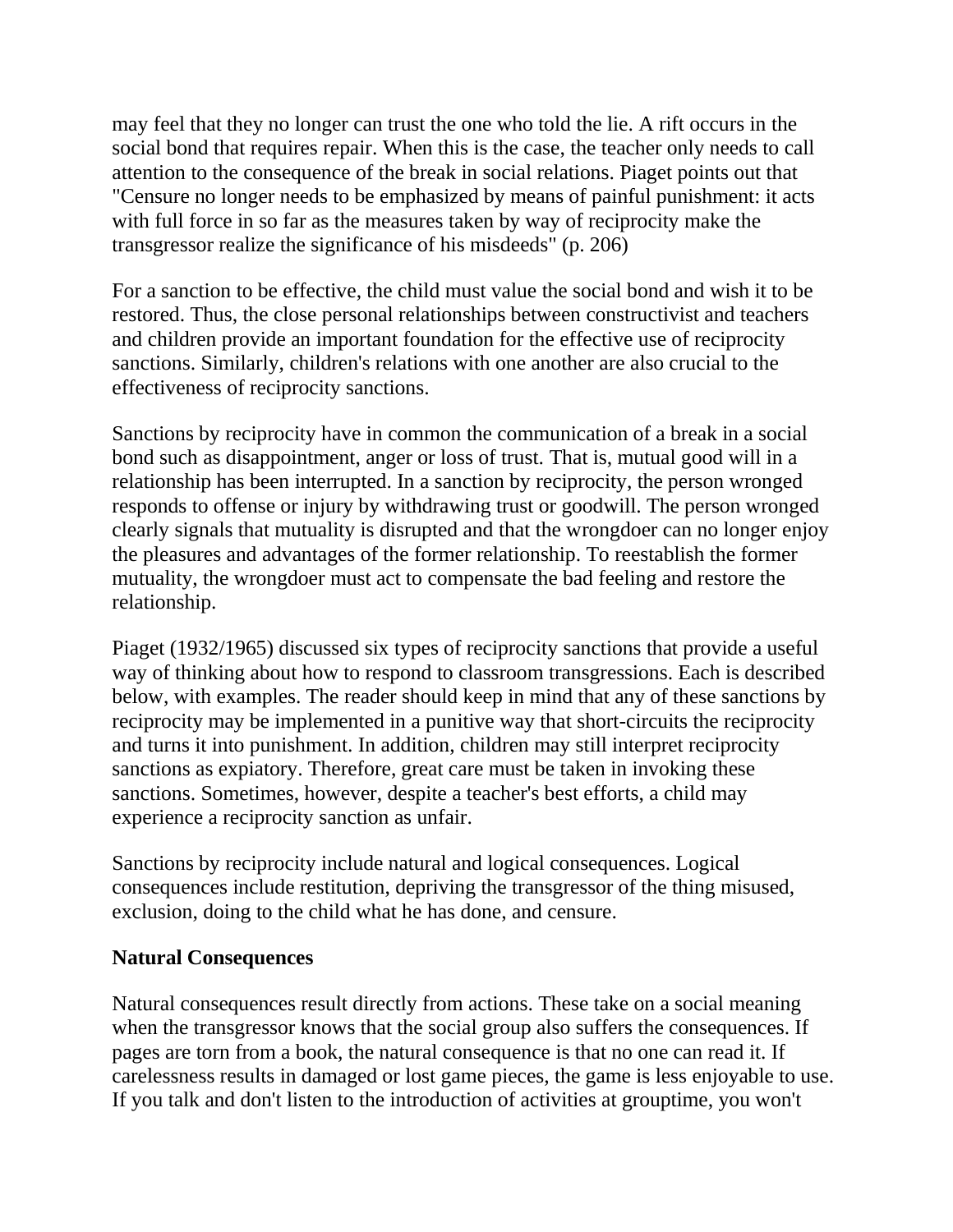may feel that they no longer can trust the one who told the lie. A rift occurs in the social bond that requires repair. When this is the case, the teacher only needs to call attention to the consequence of the break in social relations. Piaget points out that "Censure no longer needs to be emphasized by means of painful punishment: it acts with full force in so far as the measures taken by way of reciprocity make the transgressor realize the significance of his misdeeds" (p. 206)

For a sanction to be effective, the child must value the social bond and wish it to be restored. Thus, the close personal relationships between constructivist and teachers and children provide an important foundation for the effective use of reciprocity sanctions. Similarly, children's relations with one another are also crucial to the effectiveness of reciprocity sanctions.

Sanctions by reciprocity have in common the communication of a break in a social bond such as disappointment, anger or loss of trust. That is, mutual good will in a relationship has been interrupted. In a sanction by reciprocity, the person wronged responds to offense or injury by withdrawing trust or goodwill. The person wronged clearly signals that mutuality is disrupted and that the wrongdoer can no longer enjoy the pleasures and advantages of the former relationship. To reestablish the former mutuality, the wrongdoer must act to compensate the bad feeling and restore the relationship.

Piaget (1932/1965) discussed six types of reciprocity sanctions that provide a useful way of thinking about how to respond to classroom transgressions. Each is described below, with examples. The reader should keep in mind that any of these sanctions by reciprocity may be implemented in a punitive way that short-circuits the reciprocity and turns it into punishment. In addition, children may still interpret reciprocity sanctions as expiatory. Therefore, great care must be taken in invoking these sanctions. Sometimes, however, despite a teacher's best efforts, a child may experience a reciprocity sanction as unfair.

Sanctions by reciprocity include natural and logical consequences. Logical consequences include restitution, depriving the transgressor of the thing misused, exclusion, doing to the child what he has done, and censure.

#### **Natural Consequences**

Natural consequences result directly from actions. These take on a social meaning when the transgressor knows that the social group also suffers the consequences. If pages are torn from a book, the natural consequence is that no one can read it. If carelessness results in damaged or lost game pieces, the game is less enjoyable to use. If you talk and don't listen to the introduction of activities at grouptime, you won't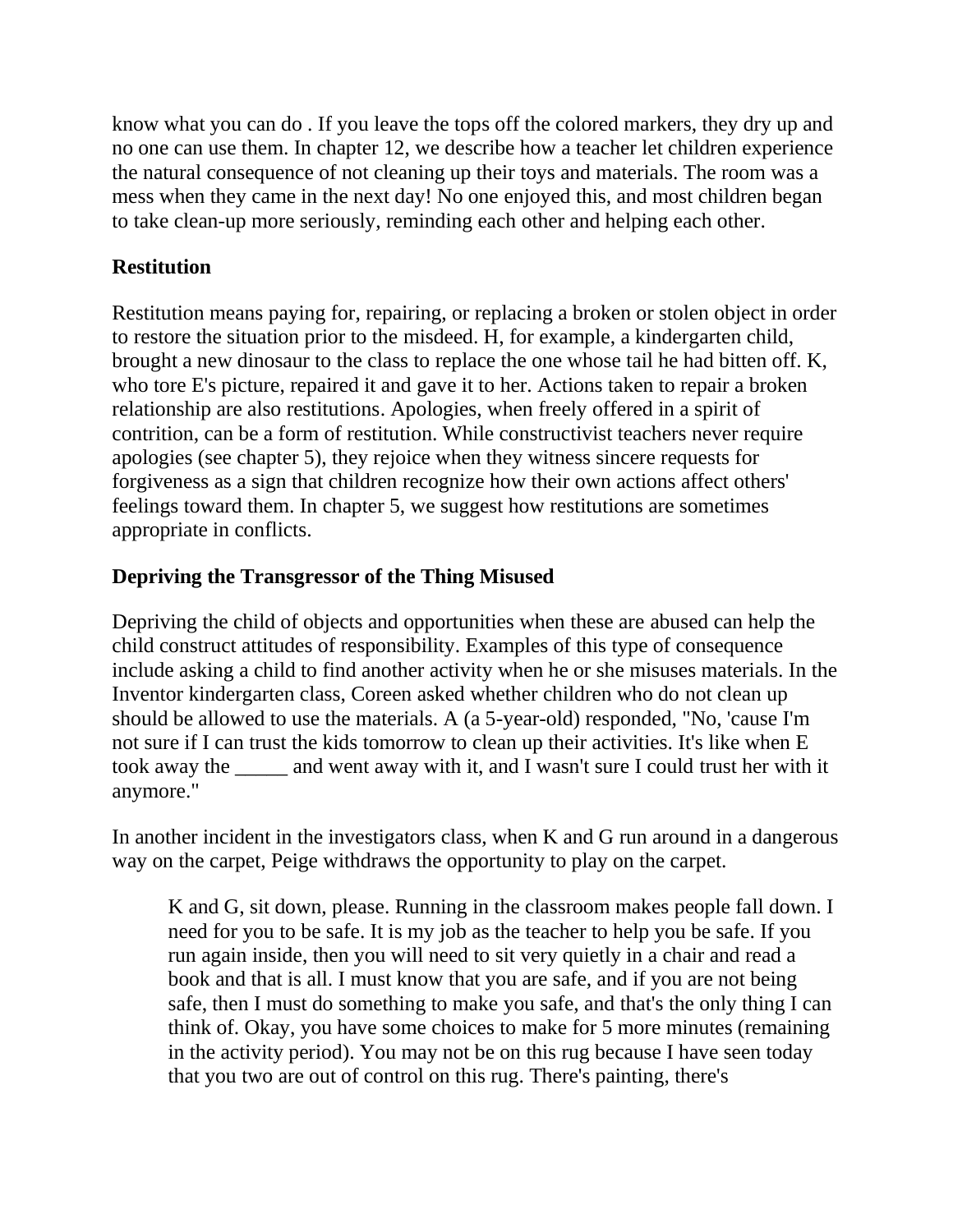know what you can do . If you leave the tops off the colored markers, they dry up and no one can use them. In chapter 12, we describe how a teacher let children experience the natural consequence of not cleaning up their toys and materials. The room was a mess when they came in the next day! No one enjoyed this, and most children began to take clean-up more seriously, reminding each other and helping each other.

# **Restitution**

Restitution means paying for, repairing, or replacing a broken or stolen object in order to restore the situation prior to the misdeed. H, for example, a kindergarten child, brought a new dinosaur to the class to replace the one whose tail he had bitten off. K, who tore E's picture, repaired it and gave it to her. Actions taken to repair a broken relationship are also restitutions. Apologies, when freely offered in a spirit of contrition, can be a form of restitution. While constructivist teachers never require apologies (see chapter 5), they rejoice when they witness sincere requests for forgiveness as a sign that children recognize how their own actions affect others' feelings toward them. In chapter 5, we suggest how restitutions are sometimes appropriate in conflicts.

# **Depriving the Transgressor of the Thing Misused**

Depriving the child of objects and opportunities when these are abused can help the child construct attitudes of responsibility. Examples of this type of consequence include asking a child to find another activity when he or she misuses materials. In the Inventor kindergarten class, Coreen asked whether children who do not clean up should be allowed to use the materials. A (a 5-year-old) responded, "No, 'cause I'm not sure if I can trust the kids tomorrow to clean up their activities. It's like when E took away the \_\_\_\_\_ and went away with it, and I wasn't sure I could trust her with it anymore."

In another incident in the investigators class, when K and G run around in a dangerous way on the carpet, Peige withdraws the opportunity to play on the carpet.

K and G, sit down, please. Running in the classroom makes people fall down. I need for you to be safe. It is my job as the teacher to help you be safe. If you run again inside, then you will need to sit very quietly in a chair and read a book and that is all. I must know that you are safe, and if you are not being safe, then I must do something to make you safe, and that's the only thing I can think of. Okay, you have some choices to make for 5 more minutes (remaining in the activity period). You may not be on this rug because I have seen today that you two are out of control on this rug. There's painting, there's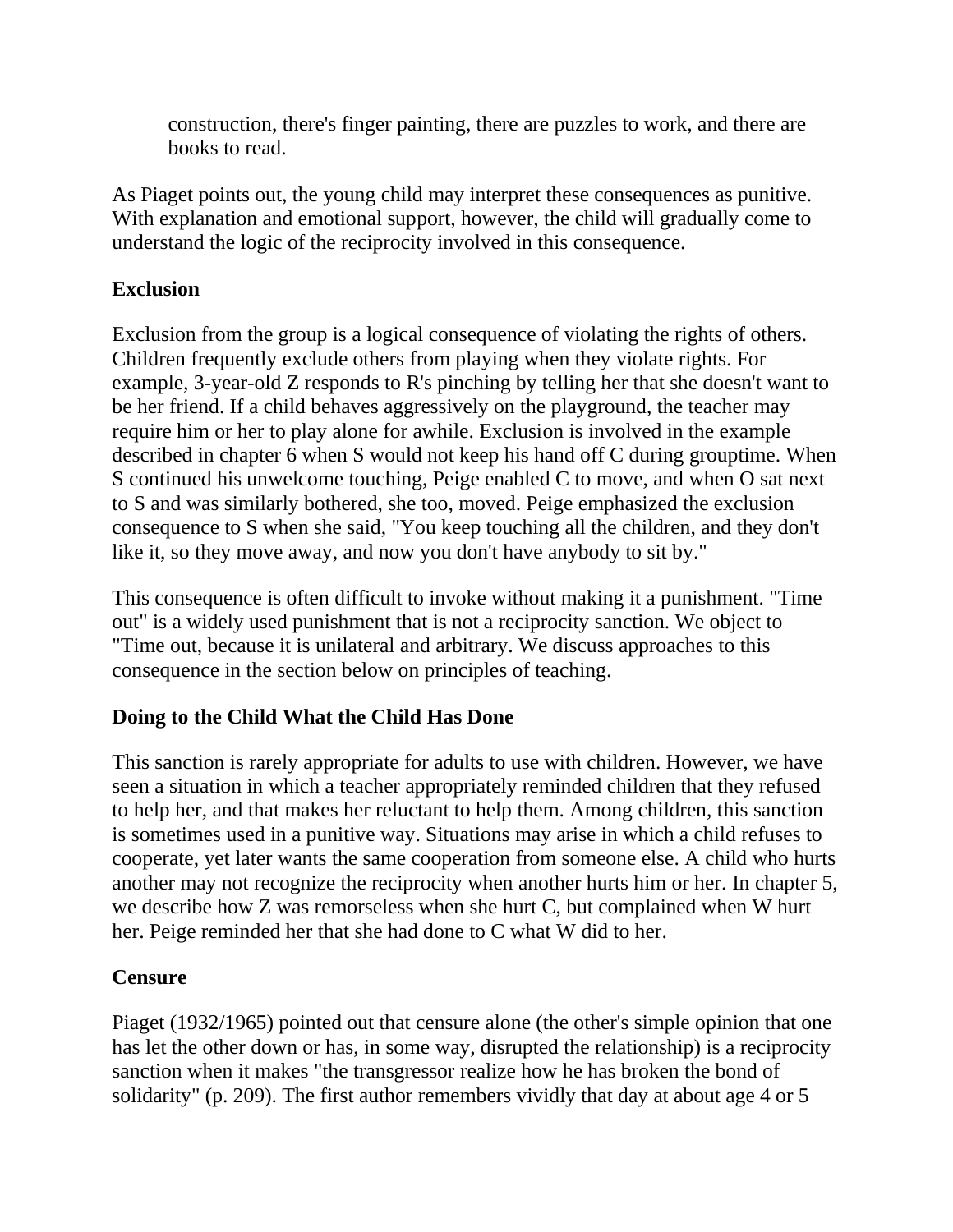construction, there's finger painting, there are puzzles to work, and there are books to read.

As Piaget points out, the young child may interpret these consequences as punitive. With explanation and emotional support, however, the child will gradually come to understand the logic of the reciprocity involved in this consequence.

# **Exclusion**

Exclusion from the group is a logical consequence of violating the rights of others. Children frequently exclude others from playing when they violate rights. For example, 3-year-old Z responds to R's pinching by telling her that she doesn't want to be her friend. If a child behaves aggressively on the playground, the teacher may require him or her to play alone for awhile. Exclusion is involved in the example described in chapter 6 when S would not keep his hand off C during grouptime. When S continued his unwelcome touching, Peige enabled C to move, and when O sat next to S and was similarly bothered, she too, moved. Peige emphasized the exclusion consequence to S when she said, "You keep touching all the children, and they don't like it, so they move away, and now you don't have anybody to sit by."

This consequence is often difficult to invoke without making it a punishment. "Time out" is a widely used punishment that is not a reciprocity sanction. We object to "Time out, because it is unilateral and arbitrary. We discuss approaches to this consequence in the section below on principles of teaching.

# **Doing to the Child What the Child Has Done**

This sanction is rarely appropriate for adults to use with children. However, we have seen a situation in which a teacher appropriately reminded children that they refused to help her, and that makes her reluctant to help them. Among children, this sanction is sometimes used in a punitive way. Situations may arise in which a child refuses to cooperate, yet later wants the same cooperation from someone else. A child who hurts another may not recognize the reciprocity when another hurts him or her. In chapter 5, we describe how Z was remorseless when she hurt C, but complained when W hurt her. Peige reminded her that she had done to C what W did to her.

## **Censure**

Piaget (1932/1965) pointed out that censure alone (the other's simple opinion that one has let the other down or has, in some way, disrupted the relationship) is a reciprocity sanction when it makes "the transgressor realize how he has broken the bond of solidarity" (p. 209). The first author remembers vividly that day at about age 4 or 5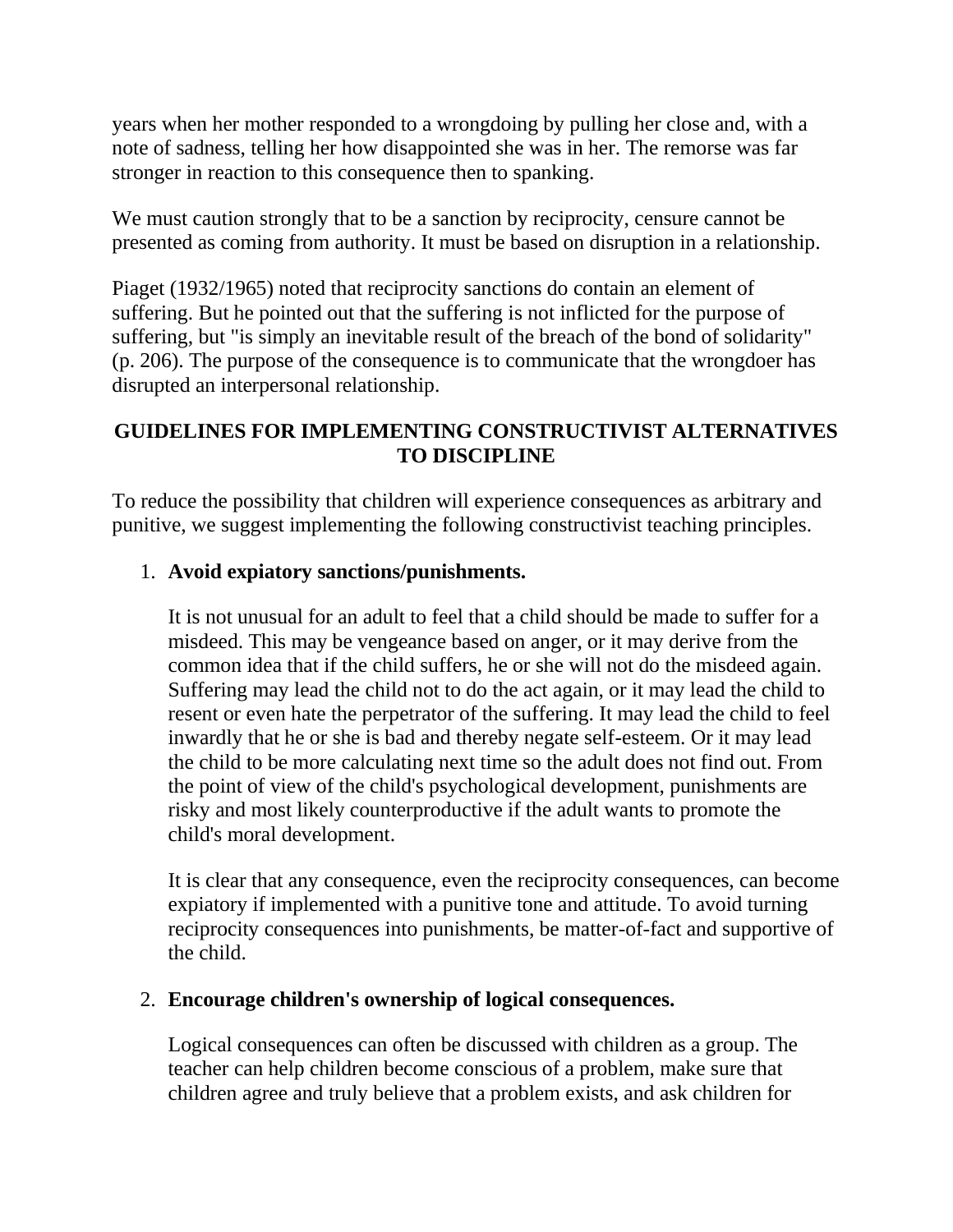years when her mother responded to a wrongdoing by pulling her close and, with a note of sadness, telling her how disappointed she was in her. The remorse was far stronger in reaction to this consequence then to spanking.

We must caution strongly that to be a sanction by reciprocity, censure cannot be presented as coming from authority. It must be based on disruption in a relationship.

Piaget (1932/1965) noted that reciprocity sanctions do contain an element of suffering. But he pointed out that the suffering is not inflicted for the purpose of suffering, but "is simply an inevitable result of the breach of the bond of solidarity" (p. 206). The purpose of the consequence is to communicate that the wrongdoer has disrupted an interpersonal relationship.

# **GUIDELINES FOR IMPLEMENTING CONSTRUCTIVIST ALTERNATIVES TO DISCIPLINE**

To reduce the possibility that children will experience consequences as arbitrary and punitive, we suggest implementing the following constructivist teaching principles.

## 1. **Avoid expiatory sanctions/punishments.**

It is not unusual for an adult to feel that a child should be made to suffer for a misdeed. This may be vengeance based on anger, or it may derive from the common idea that if the child suffers, he or she will not do the misdeed again. Suffering may lead the child not to do the act again, or it may lead the child to resent or even hate the perpetrator of the suffering. It may lead the child to feel inwardly that he or she is bad and thereby negate self-esteem. Or it may lead the child to be more calculating next time so the adult does not find out. From the point of view of the child's psychological development, punishments are risky and most likely counterproductive if the adult wants to promote the child's moral development.

It is clear that any consequence, even the reciprocity consequences, can become expiatory if implemented with a punitive tone and attitude. To avoid turning reciprocity consequences into punishments, be matter-of-fact and supportive of the child.

## 2. **Encourage children's ownership of logical consequences.**

Logical consequences can often be discussed with children as a group. The teacher can help children become conscious of a problem, make sure that children agree and truly believe that a problem exists, and ask children for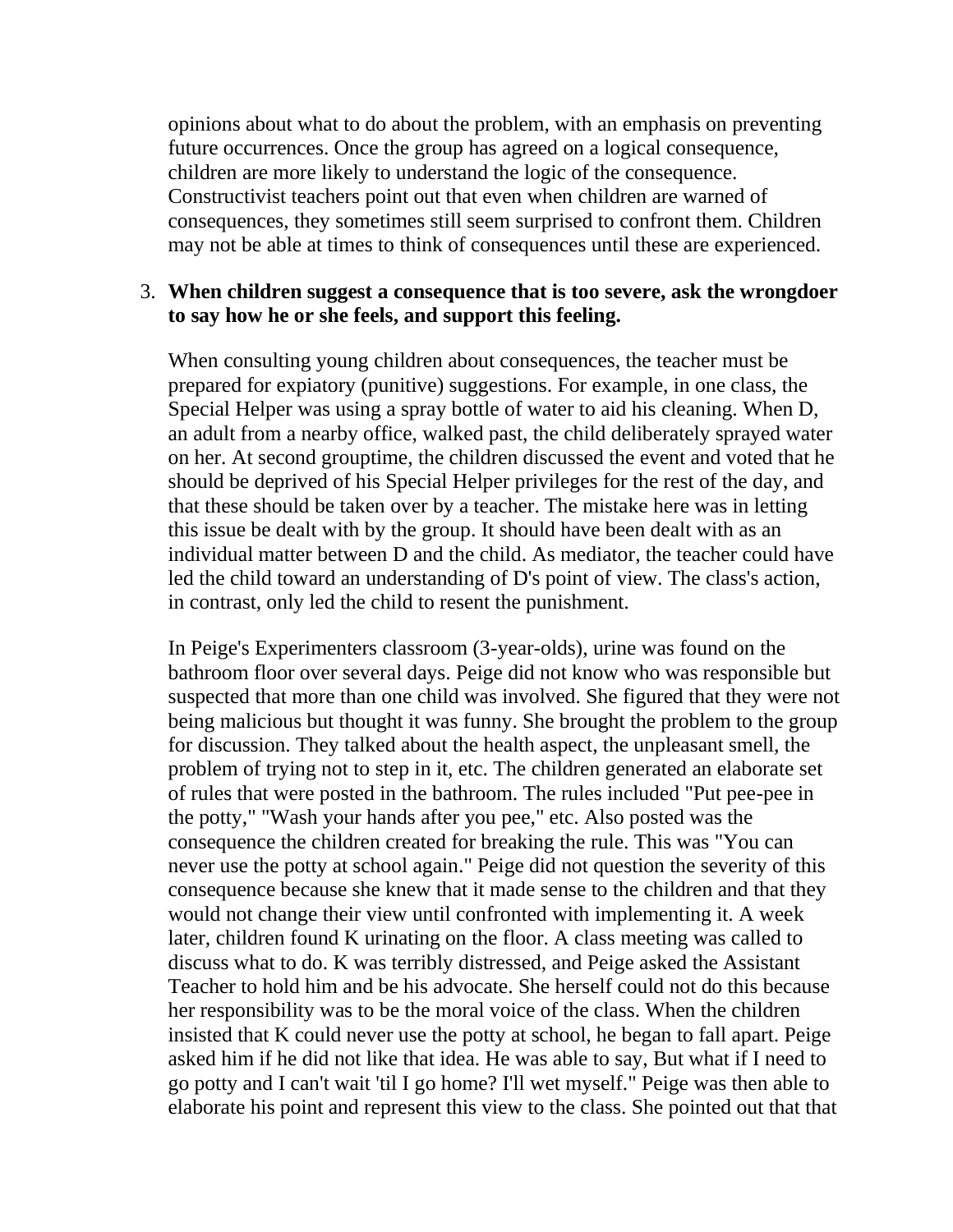opinions about what to do about the problem, with an emphasis on preventing future occurrences. Once the group has agreed on a logical consequence, children are more likely to understand the logic of the consequence. Constructivist teachers point out that even when children are warned of consequences, they sometimes still seem surprised to confront them. Children may not be able at times to think of consequences until these are experienced.

#### 3. **When children suggest a consequence that is too severe, ask the wrongdoer to say how he or she feels, and support this feeling.**

When consulting young children about consequences, the teacher must be prepared for expiatory (punitive) suggestions. For example, in one class, the Special Helper was using a spray bottle of water to aid his cleaning. When D, an adult from a nearby office, walked past, the child deliberately sprayed water on her. At second grouptime, the children discussed the event and voted that he should be deprived of his Special Helper privileges for the rest of the day, and that these should be taken over by a teacher. The mistake here was in letting this issue be dealt with by the group. It should have been dealt with as an individual matter between D and the child. As mediator, the teacher could have led the child toward an understanding of D's point of view. The class's action, in contrast, only led the child to resent the punishment.

In Peige's Experimenters classroom (3-year-olds), urine was found on the bathroom floor over several days. Peige did not know who was responsible but suspected that more than one child was involved. She figured that they were not being malicious but thought it was funny. She brought the problem to the group for discussion. They talked about the health aspect, the unpleasant smell, the problem of trying not to step in it, etc. The children generated an elaborate set of rules that were posted in the bathroom. The rules included "Put pee-pee in the potty," "Wash your hands after you pee," etc. Also posted was the consequence the children created for breaking the rule. This was "You can never use the potty at school again." Peige did not question the severity of this consequence because she knew that it made sense to the children and that they would not change their view until confronted with implementing it. A week later, children found K urinating on the floor. A class meeting was called to discuss what to do. K was terribly distressed, and Peige asked the Assistant Teacher to hold him and be his advocate. She herself could not do this because her responsibility was to be the moral voice of the class. When the children insisted that K could never use the potty at school, he began to fall apart. Peige asked him if he did not like that idea. He was able to say, But what if I need to go potty and I can't wait 'til I go home? I'll wet myself." Peige was then able to elaborate his point and represent this view to the class. She pointed out that that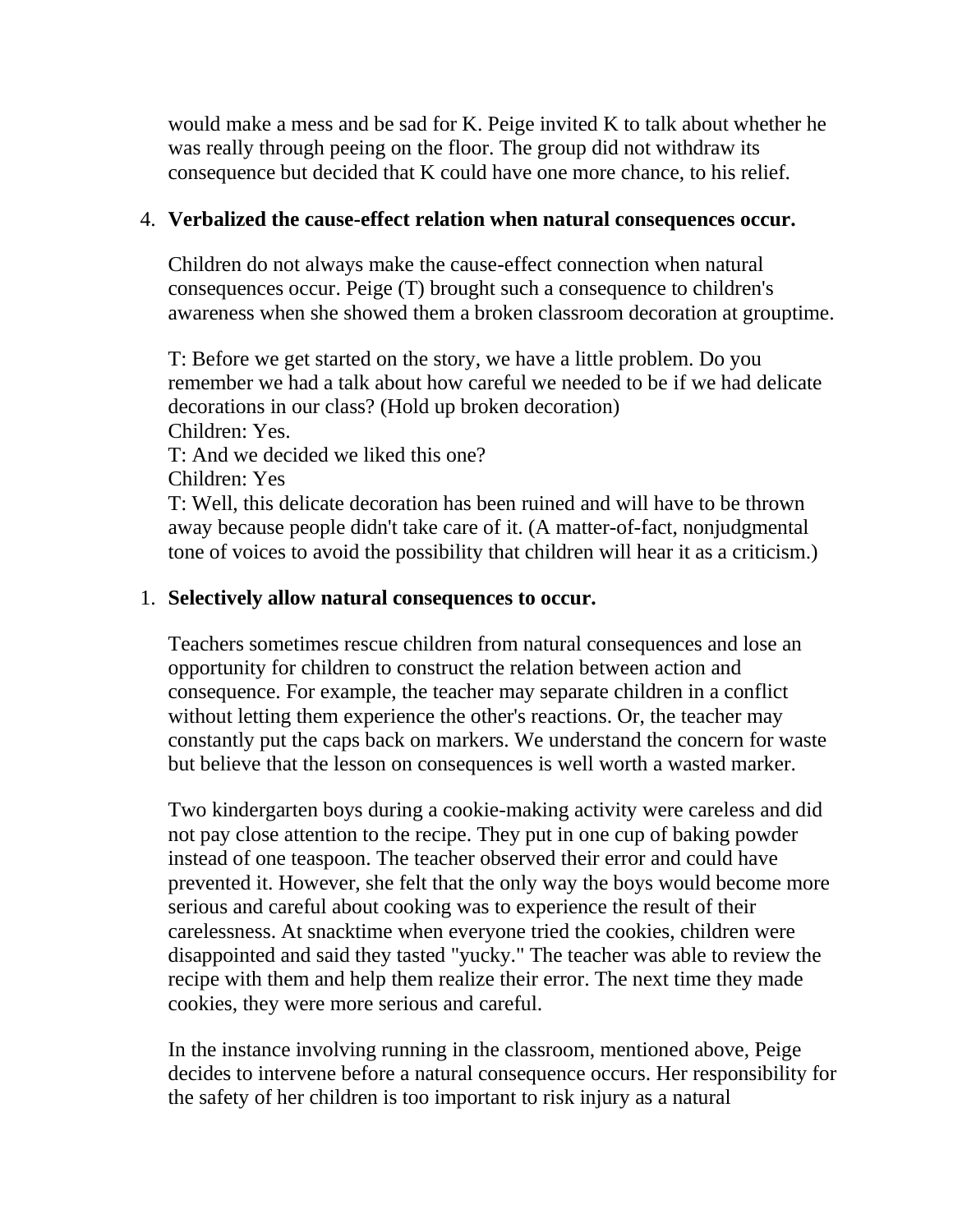would make a mess and be sad for K. Peige invited K to talk about whether he was really through peeing on the floor. The group did not withdraw its consequence but decided that K could have one more chance, to his relief.

#### 4. **Verbalized the cause-effect relation when natural consequences occur.**

Children do not always make the cause-effect connection when natural consequences occur. Peige (T) brought such a consequence to children's awareness when she showed them a broken classroom decoration at grouptime.

T: Before we get started on the story, we have a little problem. Do you remember we had a talk about how careful we needed to be if we had delicate decorations in our class? (Hold up broken decoration) Children: Yes.

T: And we decided we liked this one?

Children: Yes

T: Well, this delicate decoration has been ruined and will have to be thrown away because people didn't take care of it. (A matter-of-fact, nonjudgmental tone of voices to avoid the possibility that children will hear it as a criticism.)

## 1. **Selectively allow natural consequences to occur.**

Teachers sometimes rescue children from natural consequences and lose an opportunity for children to construct the relation between action and consequence. For example, the teacher may separate children in a conflict without letting them experience the other's reactions. Or, the teacher may constantly put the caps back on markers. We understand the concern for waste but believe that the lesson on consequences is well worth a wasted marker.

Two kindergarten boys during a cookie-making activity were careless and did not pay close attention to the recipe. They put in one cup of baking powder instead of one teaspoon. The teacher observed their error and could have prevented it. However, she felt that the only way the boys would become more serious and careful about cooking was to experience the result of their carelessness. At snacktime when everyone tried the cookies, children were disappointed and said they tasted "yucky." The teacher was able to review the recipe with them and help them realize their error. The next time they made cookies, they were more serious and careful.

In the instance involving running in the classroom, mentioned above, Peige decides to intervene before a natural consequence occurs. Her responsibility for the safety of her children is too important to risk injury as a natural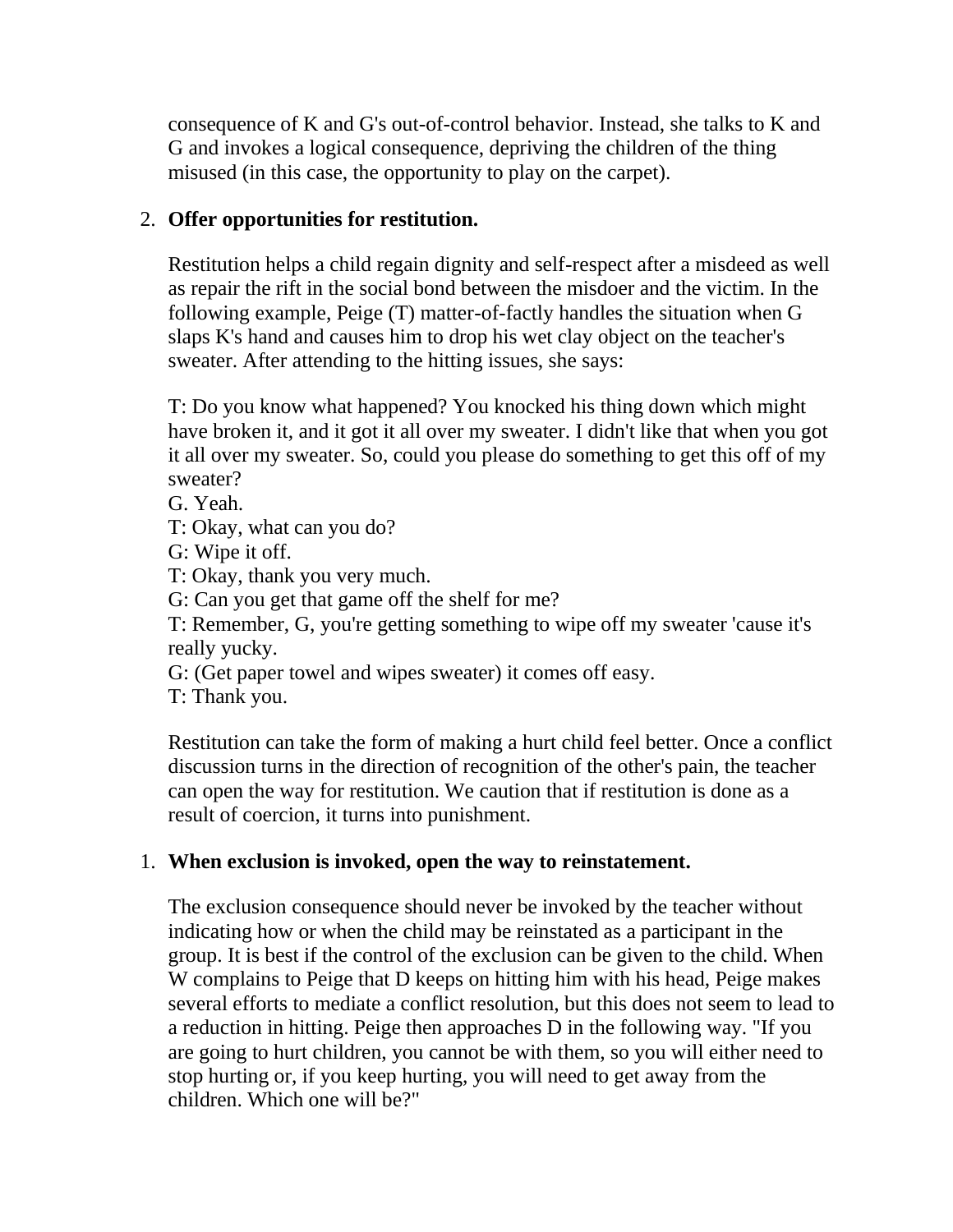consequence of K and G's out-of-control behavior. Instead, she talks to K and G and invokes a logical consequence, depriving the children of the thing misused (in this case, the opportunity to play on the carpet).

## 2. **Offer opportunities for restitution.**

Restitution helps a child regain dignity and self-respect after a misdeed as well as repair the rift in the social bond between the misdoer and the victim. In the following example, Peige (T) matter-of-factly handles the situation when G slaps K's hand and causes him to drop his wet clay object on the teacher's sweater. After attending to the hitting issues, she says:

T: Do you know what happened? You knocked his thing down which might have broken it, and it got it all over my sweater. I didn't like that when you got it all over my sweater. So, could you please do something to get this off of my sweater?

G. Yeah.

T: Okay, what can you do?

G: Wipe it off.

T: Okay, thank you very much.

G: Can you get that game off the shelf for me?

T: Remember, G, you're getting something to wipe off my sweater 'cause it's really yucky.

G: (Get paper towel and wipes sweater) it comes off easy.

T: Thank you.

Restitution can take the form of making a hurt child feel better. Once a conflict discussion turns in the direction of recognition of the other's pain, the teacher can open the way for restitution. We caution that if restitution is done as a result of coercion, it turns into punishment.

#### 1. **When exclusion is invoked, open the way to reinstatement.**

The exclusion consequence should never be invoked by the teacher without indicating how or when the child may be reinstated as a participant in the group. It is best if the control of the exclusion can be given to the child. When W complains to Peige that D keeps on hitting him with his head, Peige makes several efforts to mediate a conflict resolution, but this does not seem to lead to a reduction in hitting. Peige then approaches D in the following way. "If you are going to hurt children, you cannot be with them, so you will either need to stop hurting or, if you keep hurting, you will need to get away from the children. Which one will be?"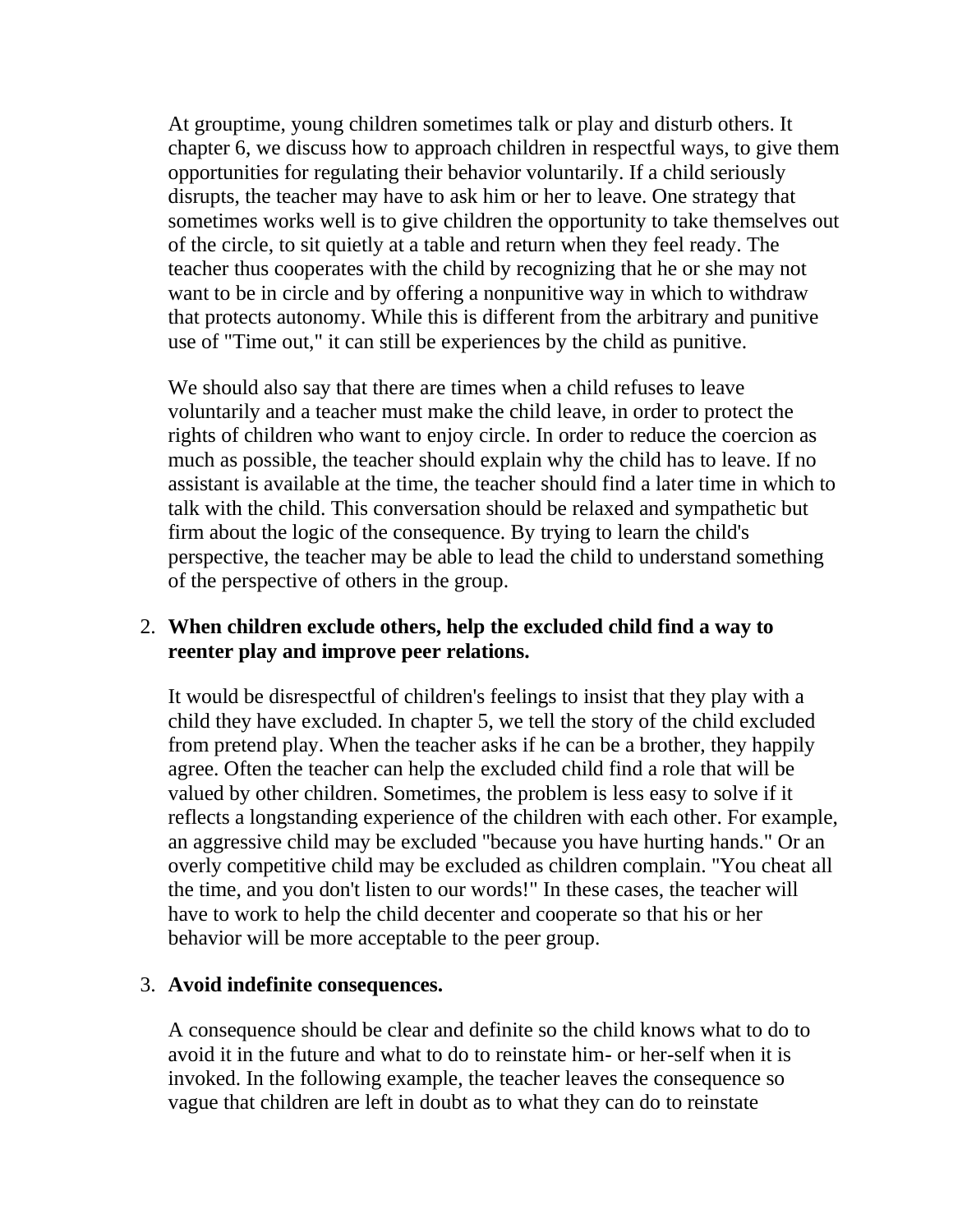At grouptime, young children sometimes talk or play and disturb others. It chapter 6, we discuss how to approach children in respectful ways, to give them opportunities for regulating their behavior voluntarily. If a child seriously disrupts, the teacher may have to ask him or her to leave. One strategy that sometimes works well is to give children the opportunity to take themselves out of the circle, to sit quietly at a table and return when they feel ready. The teacher thus cooperates with the child by recognizing that he or she may not want to be in circle and by offering a nonpunitive way in which to withdraw that protects autonomy. While this is different from the arbitrary and punitive use of "Time out," it can still be experiences by the child as punitive.

We should also say that there are times when a child refuses to leave voluntarily and a teacher must make the child leave, in order to protect the rights of children who want to enjoy circle. In order to reduce the coercion as much as possible, the teacher should explain why the child has to leave. If no assistant is available at the time, the teacher should find a later time in which to talk with the child. This conversation should be relaxed and sympathetic but firm about the logic of the consequence. By trying to learn the child's perspective, the teacher may be able to lead the child to understand something of the perspective of others in the group.

## 2. **When children exclude others, help the excluded child find a way to reenter play and improve peer relations.**

It would be disrespectful of children's feelings to insist that they play with a child they have excluded. In chapter 5, we tell the story of the child excluded from pretend play. When the teacher asks if he can be a brother, they happily agree. Often the teacher can help the excluded child find a role that will be valued by other children. Sometimes, the problem is less easy to solve if it reflects a longstanding experience of the children with each other. For example, an aggressive child may be excluded "because you have hurting hands." Or an overly competitive child may be excluded as children complain. "You cheat all the time, and you don't listen to our words!" In these cases, the teacher will have to work to help the child decenter and cooperate so that his or her behavior will be more acceptable to the peer group.

#### 3. **Avoid indefinite consequences.**

A consequence should be clear and definite so the child knows what to do to avoid it in the future and what to do to reinstate him- or her-self when it is invoked. In the following example, the teacher leaves the consequence so vague that children are left in doubt as to what they can do to reinstate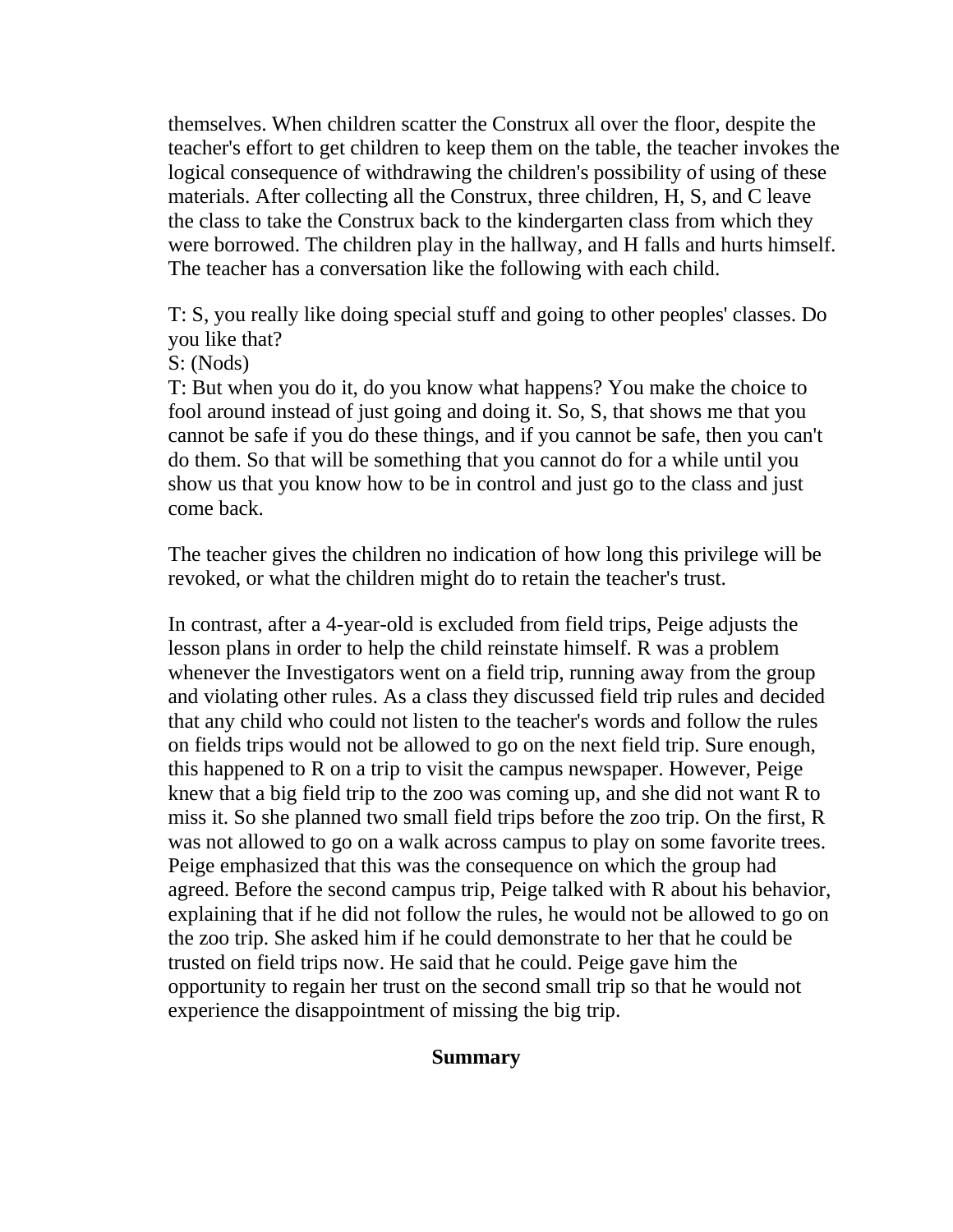themselves. When children scatter the Construx all over the floor, despite the teacher's effort to get children to keep them on the table, the teacher invokes the logical consequence of withdrawing the children's possibility of using of these materials. After collecting all the Construx, three children, H, S, and C leave the class to take the Construx back to the kindergarten class from which they were borrowed. The children play in the hallway, and H falls and hurts himself. The teacher has a conversation like the following with each child.

T: S, you really like doing special stuff and going to other peoples' classes. Do you like that?

S: (Nods)

T: But when you do it, do you know what happens? You make the choice to fool around instead of just going and doing it. So, S, that shows me that you cannot be safe if you do these things, and if you cannot be safe, then you can't do them. So that will be something that you cannot do for a while until you show us that you know how to be in control and just go to the class and just come back.

The teacher gives the children no indication of how long this privilege will be revoked, or what the children might do to retain the teacher's trust.

In contrast, after a 4-year-old is excluded from field trips, Peige adjusts the lesson plans in order to help the child reinstate himself. R was a problem whenever the Investigators went on a field trip, running away from the group and violating other rules. As a class they discussed field trip rules and decided that any child who could not listen to the teacher's words and follow the rules on fields trips would not be allowed to go on the next field trip. Sure enough, this happened to R on a trip to visit the campus newspaper. However, Peige knew that a big field trip to the zoo was coming up, and she did not want R to miss it. So she planned two small field trips before the zoo trip. On the first, R was not allowed to go on a walk across campus to play on some favorite trees. Peige emphasized that this was the consequence on which the group had agreed. Before the second campus trip, Peige talked with R about his behavior, explaining that if he did not follow the rules, he would not be allowed to go on the zoo trip. She asked him if he could demonstrate to her that he could be trusted on field trips now. He said that he could. Peige gave him the opportunity to regain her trust on the second small trip so that he would not experience the disappointment of missing the big trip.

#### **Summary**